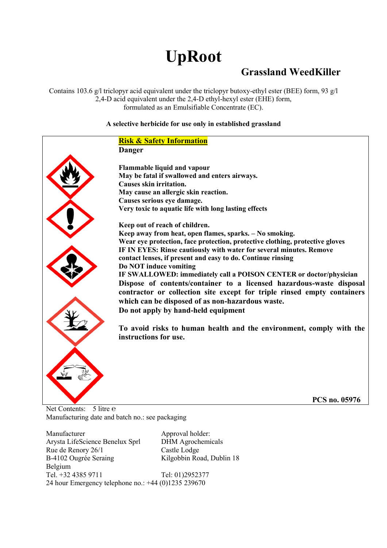# **UpRoot**

## **Grassland WeedKiller**

Contains 103.6  $g/l$  triclopyr acid equivalent under the triclopyr butoxy-ethyl ester (BEE) form, 93  $g/l$ 2,4-D acid equivalent under the 2,4-D ethyl-hexyl ester (EHE) form, formulated as an Emulsifiable Concentrate (EC).

#### **A selective herbicide for use only in established grassland**

## **Risk & Safety Information Danger Flammable liquid and vapour May be fatal if swallowed and enters airways. Causes skin irritation. May cause an allergic skin reaction. Causes serious eye damage. Very toxic to aquatic life with long lasting effects Keep out of reach of children. Keep away from heat, open flames, sparks. – No smoking. Wear eye protection, face protection, protective clothing, protective gloves IF IN EYES: Rinse cautiously with water for several minutes. Remove contact lenses, if present and easy to do. Continue rinsing Do NOT induce vomiting IF SWALLOWED: immediately call a POISON CENTER or doctor/physician Dispose of contents/container to a licensed hazardous-waste disposal contractor or collection site except for triple rinsed empty containers which can be disposed of as non-hazardous waste. Do not apply by hand-held equipment To avoid risks to human health and the environment, comply with the instructions for use. PCS no. 05976**

Net Contents: 5 litre e Manufacturing date and batch no.: see packaging

Manufacturer Approval holder: Arysta LifeScience Benelux Sprl DHM Agrochemicals Rue de Renory 26/1 Castle Lodge B-4102 Ougrée Seraing Kilgobbin Road, Dublin 18 Belgium

Tel. +32 4385 9711 Tel: 01)2952377 24 hour Emergency telephone no.: +44 (0)1235 239670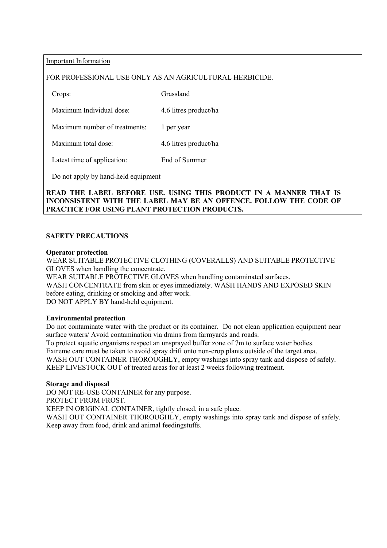Important Information

#### FOR PROFESSIONAL USE ONLY AS AN AGRICULTURAL HERBICIDE.

Crops: Grassland

Maximum Individual dose: 4.6 litres product/ha

Maximum number of treatments: 1 per year

Maximum total dose: 4.6 litres product/ha

Latest time of application: End of Summer

Do not apply by hand-held equipment

#### **READ THE LABEL BEFORE USE. USING THIS PRODUCT IN A MANNER THAT IS INCONSISTENT WITH THE LABEL MAY BE AN OFFENCE. FOLLOW THE CODE OF PRACTICE FOR USING PLANT PROTECTION PRODUCTS.**

#### **SAFETY PRECAUTIONS**

#### **Operator protection**

WEAR SUITABLE PROTECTIVE CLOTHING (COVERALLS) AND SUITABLE PROTECTIVE GLOVES when handling the concentrate.

WEAR SUITABLE PROTECTIVE GLOVES when handling contaminated surfaces. WASH CONCENTRATE from skin or eyes immediately. WASH HANDS AND EXPOSED SKIN before eating, drinking or smoking and after work. DO NOT APPLY BY hand-held equipment.

#### **Environmental protection**

Do not contaminate water with the product or its container. Do not clean application equipment near surface waters/ Avoid contamination via drains from farmyards and roads. To protect aquatic organisms respect an unsprayed buffer zone of 7m to surface water bodies. Extreme care must be taken to avoid spray drift onto non-crop plants outside of the target area. WASH OUT CONTAINER THOROUGHLY, empty washings into spray tank and dispose of safely. KEEP LIVESTOCK OUT of treated areas for at least 2 weeks following treatment.

#### **Storage and disposal**

DO NOT RE-USE CONTAINER for any purpose. PROTECT FROM FROST. KEEP IN ORIGINAL CONTAINER, tightly closed, in a safe place. WASH OUT CONTAINER THOROUGHLY, empty washings into spray tank and dispose of safely. Keep away from food, drink and animal feedingstuffs.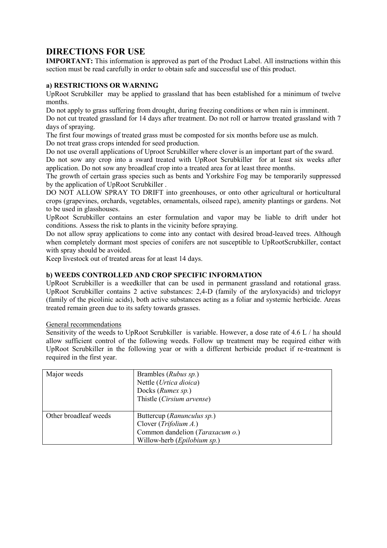### **DIRECTIONS FOR USE**

**IMPORTANT:** This information is approved as part of the Product Label. All instructions within this section must be read carefully in order to obtain safe and successful use of this product.

#### **a) RESTRICTIONS OR WARNING**

UpRoot Scrubkiller may be applied to grassland that has been established for a minimum of twelve months.

Do not apply to grass suffering from drought, during freezing conditions or when rain is imminent. Do not cut treated grassland for 14 days after treatment. Do not roll or harrow treated grassland with 7 days of spraying.

The first four mowings of treated grass must be composted for six months before use as mulch. Do not treat grass crops intended for seed production.

Do not use overall applications of Uproot Scrubkiller where clover is an important part of the sward.

Do not sow any crop into a sward treated with UpRoot Scrubkiller for at least six weeks after application. Do not sow any broadleaf crop into a treated area for at least three months.

The growth of certain grass species such as bents and Yorkshire Fog may be temporarily suppressed by the application of UpRoot Scrubkiller .

DO NOT ALLOW SPRAY TO DRIFT into greenhouses, or onto other agricultural or horticultural crops (grapevines, orchards, vegetables, ornamentals, oilseed rape), amenity plantings or gardens. Not to be used in glasshouses.

UpRoot Scrubkiller contains an ester formulation and vapor may be liable to drift under hot conditions. Assess the risk to plants in the vicinity before spraying.

Do not allow spray applications to come into any contact with desired broad-leaved trees. Although when completely dormant most species of conifers are not susceptible to UpRootScrubkiller, contact with spray should be avoided.

Keep livestock out of treated areas for at least 14 days.

#### **b) WEEDS CONTROLLED AND CROP SPECIFIC INFORMATION**

UpRoot Scrubkiller is a weedkiller that can be used in permanent grassland and rotational grass. UpRoot Scrubkiller contains 2 active substances: 2,4-D (family of the aryloxyacids) and triclopyr (family of the picolinic acids), both active substances acting as a foliar and systemic herbicide. Areas treated remain green due to its safety towards grasses.

#### General recommendations

Sensitivity of the weeds to UpRoot Scrubkiller is variable. However, a dose rate of 4.6 L / ha should allow sufficient control of the following weeds. Follow up treatment may be required either with UpRoot Scrubkiller in the following year or with a different herbicide product if re-treatment is required in the first year.

| Major weeds           | Brambles ( <i>Rubus sp.</i> )<br>Nettle (Urtica dioica)<br>Docks (Rumex sp.)<br>Thistle (Cirsium arvense)                        |
|-----------------------|----------------------------------------------------------------------------------------------------------------------------------|
| Other broadleaf weeds | Buttercup (Ranunculus sp.)<br>Clover $(Trifolium A.)$<br>Common dandelion (Taraxacum o.)<br>Willow-herb ( <i>Epilobium sp.</i> ) |